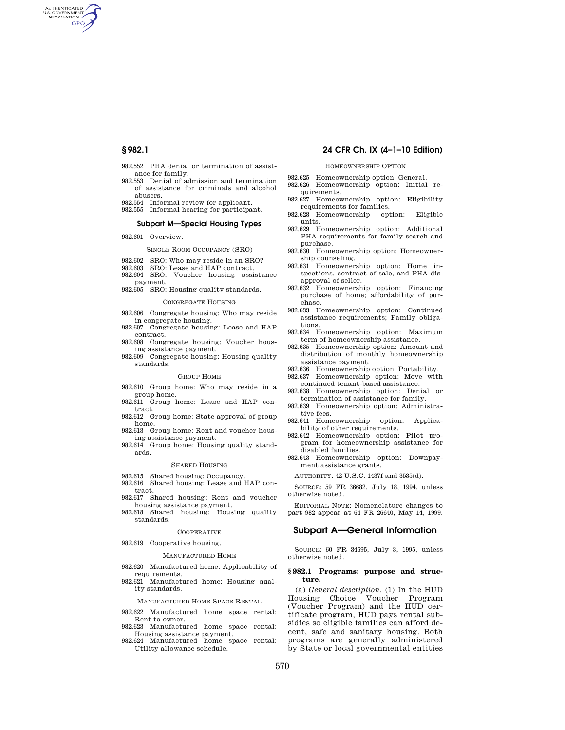AUTHENTICATED<br>U.S. GOVERNMENT<br>INFORMATION **GPO** 

- 982.552 PHA denial or termination of assistance for family.
- 982.553 Denial of admission and termination of assistance for criminals and alcohol abusers.
- 982.554 Informal review for applicant.
- 982.555 Informal hearing for participant.

## **Subpart M—Special Housing Types**

982.601 Overview.

#### SINGLE ROOM OCCUPANCY (SRO)

- 982.602 SRO: Who may reside in an SRO?
- 982.603 SRO: Lease and HAP contract.
- 982.604 SRO: Voucher housing assistance payment.
- 982.605 SRO: Housing quality standards.

## CONGREGATE HOUSING

- 982.606 Congregate housing: Who may reside in congregate housing.
- 982.607 Congregate housing: Lease and HAP contract.
- 982.608 Congregate housing: Voucher housing assistance payment.
- 982.609 Congregate housing: Housing quality standards.

#### GROUP HOME

- 982.610 Group home: Who may reside in a group home.
- 982.611 Group home: Lease and HAP contract.
- 982.612 Group home: State approval of group home.
- 982.613 Group home: Rent and voucher housing assistance payment.
- 982.614 Group home: Housing quality standards.

## SHARED HOUSING

- 982.615 Shared housing: Occupancy.
- 982.616 Shared housing: Lease and HAP contract.
- 982.617 Shared housing: Rent and voucher housing assistance payment.
- 982.618 Shared housing: Housing quality standards.

#### **COOPERATIVE**

982.619 Cooperative housing.

#### MANUFACTURED HOME

- 982.620 Manufactured home: Applicability of requirements.
- 982.621 Manufactured home: Housing quality standards.

#### MANUFACTURED HOME SPACE RENTAL

- 982.622 Manufactured home space rental: Rent to owner.
- 982.623 Manufactured home space rental: Housing assistance payment.
- 982.624 Manufactured home space rental: Utility allowance schedule.

## **§ 982.1 24 CFR Ch. IX (4–1–10 Edition)**

## HOMEOWNERSHIP OPTION

- 982.625 Homeownership option: General.
- 982.626 Homeownership option: Initial requirements.
- 982.627 Homeownership option: Eligibility requirements for families.<br>628 Homeownership option:
- 982.628 Homeownership option: Eligible units.
- 982.629 Homeownership option: Additional PHA requirements for family search and purchase.
- 982.630 Homeownership option: Homeownership counseling.
- 982.631 Homeownership option: Home inspections, contract of sale, and PHA disapproval of seller.
- 982.632 Homeownership option: Financing purchase of home; affordability of purchase.
- 982.633 Homeownership option: Continued assistance requirements; Family obligations.
- 982.634 Homeownership option: Maximum term of homeownership assistance.
- 982.635 Homeownership option: Amount and distribution of monthly homeownership assistance payment.
- 982.636 Homeownership option: Portability.
- 982.637 Homeownership option: Move with continued tenant-based assistance.
- 982.638 Homeownership option: Denial or termination of assistance for family.
- 982.639 Homeownership option: Administrative fees.
- 982.641 Homeownership option: Applicability of other requirements.
- 982.642 Homeownership option: Pilot program for homeownership assistance for disabled families.
- 982.643 Homeownership option: Downpayment assistance grants.

AUTHORITY: 42 U.S.C. 1437f and 3535(d).

SOURCE: 59 FR 36682, July 18, 1994, unless otherwise noted.

EDITORIAL NOTE: Nomenclature changes to part 982 appear at 64 FR 26640, May 14, 1999.

## **Subpart A—General Information**

SOURCE: 60 FR 34695, July 3, 1995, unless otherwise noted.

#### **§ 982.1 Programs: purpose and structure.**

(a) *General description.* (1) In the HUD<br>Housing Choice Voucher Program Voucher Program (Voucher Program) and the HUD certificate program, HUD pays rental subsidies so eligible families can afford decent, safe and sanitary housing. Both programs are generally administered by State or local governmental entities